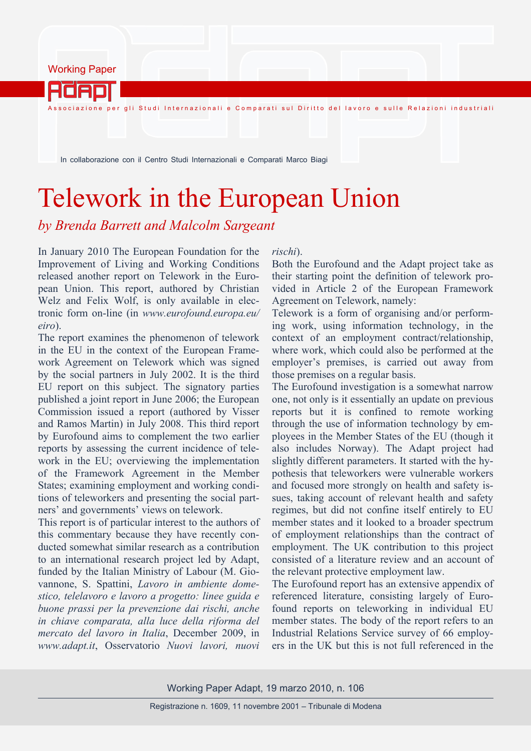Working Paper

Adap

.<br>Associazione per gli Studi Internazionali e Comparati sul Diritto del lavoro e sulle Relazioni industriali

In collaborazione con il Centro Studi Internazionali e Comparati Marco Biagi

## Telework in the European Union

*by Brenda Barrett and Malcolm Sargeant* 

In January 2010 The European Foundation for the Improvement of Living and Working Conditions released another report on Telework in the European Union. This report, authored by Christian Welz and Felix Wolf, is only available in electronic form on-line (in *www.eurofound.europa.eu/ eiro*).

The report examines the phenomenon of telework in the EU in the context of the European Framework Agreement on Telework which was signed by the social partners in July 2002. It is the third EU report on this subject. The signatory parties published a joint report in June 2006; the European Commission issued a report (authored by Visser and Ramos Martin) in July 2008. This third report by Eurofound aims to complement the two earlier reports by assessing the current incidence of telework in the EU; overviewing the implementation of the Framework Agreement in the Member States; examining employment and working conditions of teleworkers and presenting the social partners' and governments' views on telework.

This report is of particular interest to the authors of this commentary because they have recently conducted somewhat similar research as a contribution to an international research project led by Adapt, funded by the Italian Ministry of Labour (M. Giovannone, S. Spattini, *Lavoro in ambiente domestico, telelavoro e lavoro a progetto: linee guida e buone prassi per la prevenzione dai rischi, anche in chiave comparata, alla luce della riforma del mercato del lavoro in Italia*, December 2009, in *www.adapt.it*, Osservatorio *Nuovi lavori, nuovi* 

## *rischi*).

Both the Eurofound and the Adapt project take as their starting point the definition of telework provided in Article 2 of the European Framework Agreement on Telework, namely:

Telework is a form of organising and/or performing work, using information technology, in the context of an employment contract/relationship, where work, which could also be performed at the employer's premises, is carried out away from those premises on a regular basis.

The Eurofound investigation is a somewhat narrow one, not only is it essentially an update on previous reports but it is confined to remote working through the use of information technology by employees in the Member States of the EU (though it also includes Norway). The Adapt project had slightly different parameters. It started with the hypothesis that teleworkers were vulnerable workers and focused more strongly on health and safety issues, taking account of relevant health and safety regimes, but did not confine itself entirely to EU member states and it looked to a broader spectrum of employment relationships than the contract of employment. The UK contribution to this project consisted of a literature review and an account of the relevant protective employment law.

The Eurofound report has an extensive appendix of referenced literature, consisting largely of Eurofound reports on teleworking in individual EU member states. The body of the report refers to an Industrial Relations Service survey of 66 employers in the UK but this is not full referenced in the

Working Paper Adapt, 19 marzo 2010, n. 106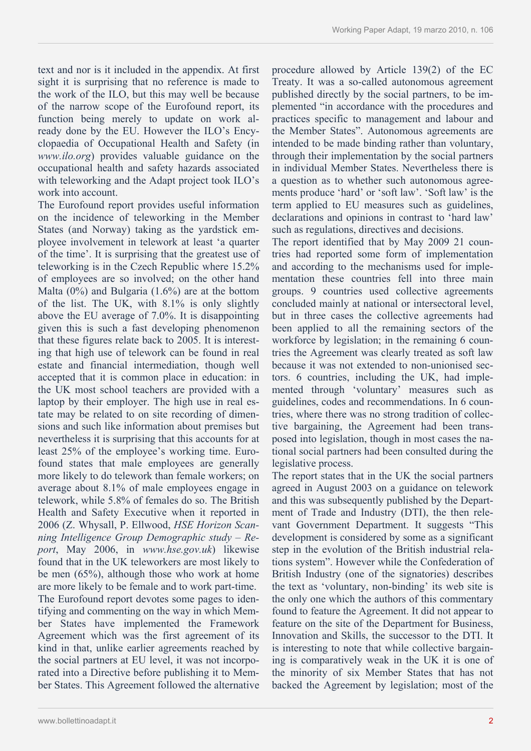text and nor is it included in the appendix. At first sight it is surprising that no reference is made to the work of the ILO, but this may well be because of the narrow scope of the Eurofound report, its function being merely to update on work already done by the EU. However the ILO's Encyclopaedia of Occupational Health and Safety (in *www.ilo.org*) provides valuable guidance on the occupational health and safety hazards associated with teleworking and the Adapt project took ILO's work into account.

The Eurofound report provides useful information on the incidence of teleworking in the Member States (and Norway) taking as the yardstick employee involvement in telework at least 'a quarter of the time'. It is surprising that the greatest use of teleworking is in the Czech Republic where 15.2% of employees are so involved; on the other hand Malta (0%) and Bulgaria (1.6%) are at the bottom of the list. The UK, with 8.1% is only slightly above the EU average of 7.0%. It is disappointing given this is such a fast developing phenomenon that these figures relate back to 2005. It is interesting that high use of telework can be found in real estate and financial intermediation, though well accepted that it is common place in education: in the UK most school teachers are provided with a laptop by their employer. The high use in real estate may be related to on site recording of dimensions and such like information about premises but nevertheless it is surprising that this accounts for at least 25% of the employee's working time. Eurofound states that male employees are generally more likely to do telework than female workers; on average about 8.1% of male employees engage in telework, while 5.8% of females do so. The British Health and Safety Executive when it reported in 2006 (Z. Whysall, P. Ellwood, *HSE Horizon Scanning Intelligence Group Demographic study – Report*, May 2006, in *www.hse.gov.uk*) likewise found that in the UK teleworkers are most likely to be men (65%), although those who work at home are more likely to be female and to work part-time. The Eurofound report devotes some pages to identifying and commenting on the way in which Member States have implemented the Framework Agreement which was the first agreement of its kind in that, unlike earlier agreements reached by the social partners at EU level, it was not incorporated into a Directive before publishing it to Member States. This Agreement followed the alternative

procedure allowed by Article 139(2) of the EC Treaty. It was a so-called autonomous agreement published directly by the social partners, to be implemented "in accordance with the procedures and practices specific to management and labour and the Member States". Autonomous agreements are intended to be made binding rather than voluntary, through their implementation by the social partners in individual Member States. Nevertheless there is a question as to whether such autonomous agreements produce 'hard' or 'soft law'. 'Soft law' is the term applied to EU measures such as guidelines, declarations and opinions in contrast to 'hard law' such as regulations, directives and decisions.

The report identified that by May 2009 21 countries had reported some form of implementation and according to the mechanisms used for implementation these countries fell into three main groups. 9 countries used collective agreements concluded mainly at national or intersectoral level, but in three cases the collective agreements had been applied to all the remaining sectors of the workforce by legislation; in the remaining 6 countries the Agreement was clearly treated as soft law because it was not extended to non-unionised sectors. 6 countries, including the UK, had implemented through 'voluntary' measures such as guidelines, codes and recommendations. In 6 countries, where there was no strong tradition of collective bargaining, the Agreement had been transposed into legislation, though in most cases the national social partners had been consulted during the legislative process.

The report states that in the UK the social partners agreed in August 2003 on a guidance on telework and this was subsequently published by the Department of Trade and Industry (DTI), the then relevant Government Department. It suggests "This development is considered by some as a significant step in the evolution of the British industrial relations system". However while the Confederation of British Industry (one of the signatories) describes the text as 'voluntary, non-binding' its web site is the only one which the authors of this commentary found to feature the Agreement. It did not appear to feature on the site of the Department for Business, Innovation and Skills, the successor to the DTI. It is interesting to note that while collective bargaining is comparatively weak in the UK it is one of the minority of six Member States that has not backed the Agreement by legislation; most of the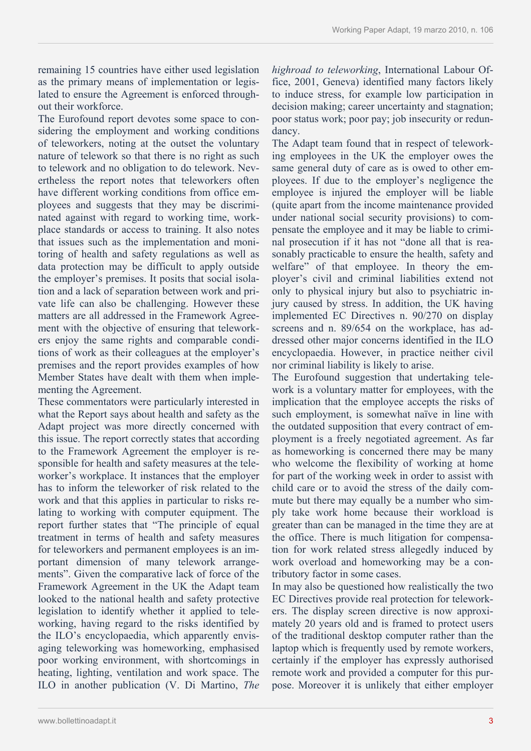remaining 15 countries have either used legislation as the primary means of implementation or legislated to ensure the Agreement is enforced throughout their workforce.

The Eurofound report devotes some space to considering the employment and working conditions of teleworkers, noting at the outset the voluntary nature of telework so that there is no right as such to telework and no obligation to do telework. Nevertheless the report notes that teleworkers often have different working conditions from office employees and suggests that they may be discriminated against with regard to working time, workplace standards or access to training. It also notes that issues such as the implementation and monitoring of health and safety regulations as well as data protection may be difficult to apply outside the employer's premises. It posits that social isolation and a lack of separation between work and private life can also be challenging. However these matters are all addressed in the Framework Agreement with the objective of ensuring that teleworkers enjoy the same rights and comparable conditions of work as their colleagues at the employer's premises and the report provides examples of how Member States have dealt with them when implementing the Agreement.

These commentators were particularly interested in what the Report says about health and safety as the Adapt project was more directly concerned with this issue. The report correctly states that according to the Framework Agreement the employer is responsible for health and safety measures at the teleworker's workplace. It instances that the employer has to inform the teleworker of risk related to the work and that this applies in particular to risks relating to working with computer equipment. The report further states that "The principle of equal treatment in terms of health and safety measures for teleworkers and permanent employees is an important dimension of many telework arrangements". Given the comparative lack of force of the Framework Agreement in the UK the Adapt team looked to the national health and safety protective legislation to identify whether it applied to teleworking, having regard to the risks identified by the ILO's encyclopaedia, which apparently envisaging teleworking was homeworking, emphasised poor working environment, with shortcomings in heating, lighting, ventilation and work space. The ILO in another publication (V. Di Martino, *The* 

*highroad to teleworking*, International Labour Office, 2001, Geneva) identified many factors likely to induce stress, for example low participation in decision making; career uncertainty and stagnation; poor status work; poor pay; job insecurity or redundancy.

The Adapt team found that in respect of teleworking employees in the UK the employer owes the same general duty of care as is owed to other employees. If due to the employer's negligence the employee is injured the employer will be liable (quite apart from the income maintenance provided under national social security provisions) to compensate the employee and it may be liable to criminal prosecution if it has not "done all that is reasonably practicable to ensure the health, safety and welfare" of that employee. In theory the employer's civil and criminal liabilities extend not only to physical injury but also to psychiatric injury caused by stress. In addition, the UK having implemented EC Directives n. 90/270 on display screens and n. 89/654 on the workplace, has addressed other major concerns identified in the ILO encyclopaedia. However, in practice neither civil nor criminal liability is likely to arise.

The Eurofound suggestion that undertaking telework is a voluntary matter for employees, with the implication that the employee accepts the risks of such employment, is somewhat naïve in line with the outdated supposition that every contract of employment is a freely negotiated agreement. As far as homeworking is concerned there may be many who welcome the flexibility of working at home for part of the working week in order to assist with child care or to avoid the stress of the daily commute but there may equally be a number who simply take work home because their workload is greater than can be managed in the time they are at the office. There is much litigation for compensation for work related stress allegedly induced by work overload and homeworking may be a contributory factor in some cases.

In may also be questioned how realistically the two EC Directives provide real protection for teleworkers. The display screen directive is now approximately 20 years old and is framed to protect users of the traditional desktop computer rather than the laptop which is frequently used by remote workers, certainly if the employer has expressly authorised remote work and provided a computer for this purpose. Moreover it is unlikely that either employer